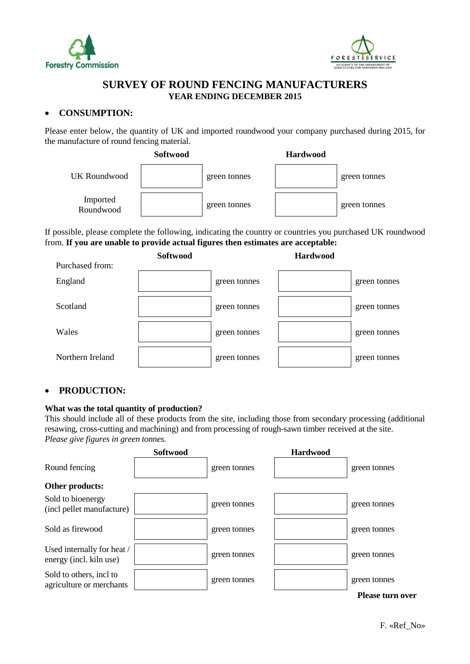



## **SURVEY OF ROUND FENCING MANUFACTURERS YEAR ENDING DECEMBER 2015**

### **CONSUMPTION:**

Please enter below, the quantity of UK and imported roundwood your company purchased during 2015, for the manufacture of round fencing material.



If possible, please complete the following, indicating the country or countries you purchased UK roundwood from. **If you are unable to provide actual figures then estimates are acceptable:**



## **PRODUCTION:**

#### **What was the total quantity of production?**

This should include all of these products from the site, including those from secondary processing (additional resawing, cross-cutting and machining) and from processing of rough-sawn timber received at the site. *Please give figures in green tonnes.*

|                                                       | Softwood |              | <b>Hardwood</b> |                         |
|-------------------------------------------------------|----------|--------------|-----------------|-------------------------|
| Round fencing                                         |          | green tonnes |                 | green tonnes            |
| Other products:                                       |          |              |                 |                         |
| Sold to bioenergy<br>(incl pellet manufacture)        |          | green tonnes |                 | green tonnes            |
| Sold as firewood                                      |          | green tonnes |                 | green tonnes            |
| Used internally for heat /<br>energy (incl. kiln use) |          | green tonnes |                 | green tonnes            |
| Sold to others, incl to<br>agriculture or merchants   |          | green tonnes |                 | green tonnes            |
|                                                       |          |              |                 | <b>Please turn over</b> |

F. «Ref\_No»